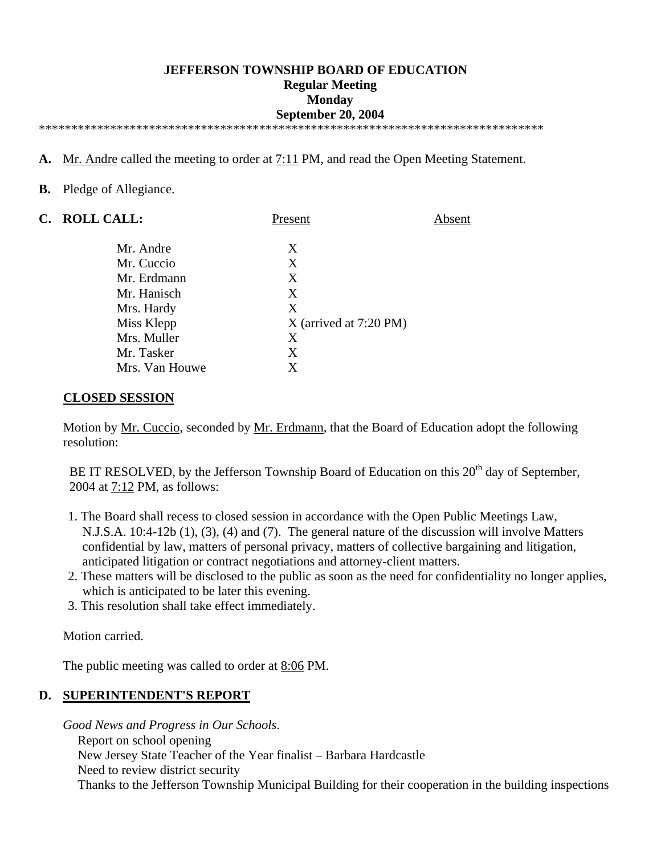#### **JEFFERSON TOWNSHIP BOARD OF EDUCATION Regular Meeting Monday September 20, 2004**  \*\*\*\*\*\*\*\*\*\*\*\*\*\*\*\*\*\*\*\*\*\*\*\*\*\*\*\*\*\*\*\*\*\*\*\*\*\*\*\*\*\*\*\*\*\*\*\*\*\*\*\*\*\*\*\*\*\*\*\*\*\*\*\*\*\*\*\*\*\*\*\*\*\*\*\*\*\*

- **A.** Mr. Andre called the meeting to order at 7:11 PM, and read the Open Meeting Statement.
- **B.** Pledge of Allegiance.

| C. ROLL CALL:  | Present                  | Absent |
|----------------|--------------------------|--------|
| Mr. Andre      | X                        |        |
| Mr. Cuccio     | X                        |        |
| Mr. Erdmann    | X                        |        |
| Mr. Hanisch    | X                        |        |
| Mrs. Hardy     | X                        |        |
| Miss Klepp     | $X$ (arrived at 7:20 PM) |        |
| Mrs. Muller    | X                        |        |
| Mr. Tasker     | X                        |        |
| Mrs. Van Houwe | X                        |        |

#### **CLOSED SESSION**

 Motion by Mr. Cuccio, seconded by Mr. Erdmann, that the Board of Education adopt the following resolution:

BE IT RESOLVED, by the Jefferson Township Board of Education on this  $20<sup>th</sup>$  day of September, 2004 at 7:12 PM, as follows:

- 1. The Board shall recess to closed session in accordance with the Open Public Meetings Law, N.J.S.A. 10:4-12b (1), (3), (4) and (7). The general nature of the discussion will involve Matters confidential by law, matters of personal privacy, matters of collective bargaining and litigation, anticipated litigation or contract negotiations and attorney-client matters.
- 2. These matters will be disclosed to the public as soon as the need for confidentiality no longer applies, which is anticipated to be later this evening.
- 3. This resolution shall take effect immediately.

Motion carried.

The public meeting was called to order at 8:06 PM.

#### **D. SUPERINTENDENT'S REPORT**

 *Good News and Progress in Our Schools*.

- Report on school opening
- New Jersey State Teacher of the Year finalist Barbara Hardcastle
- Need to review district security

Thanks to the Jefferson Township Municipal Building for their cooperation in the building inspections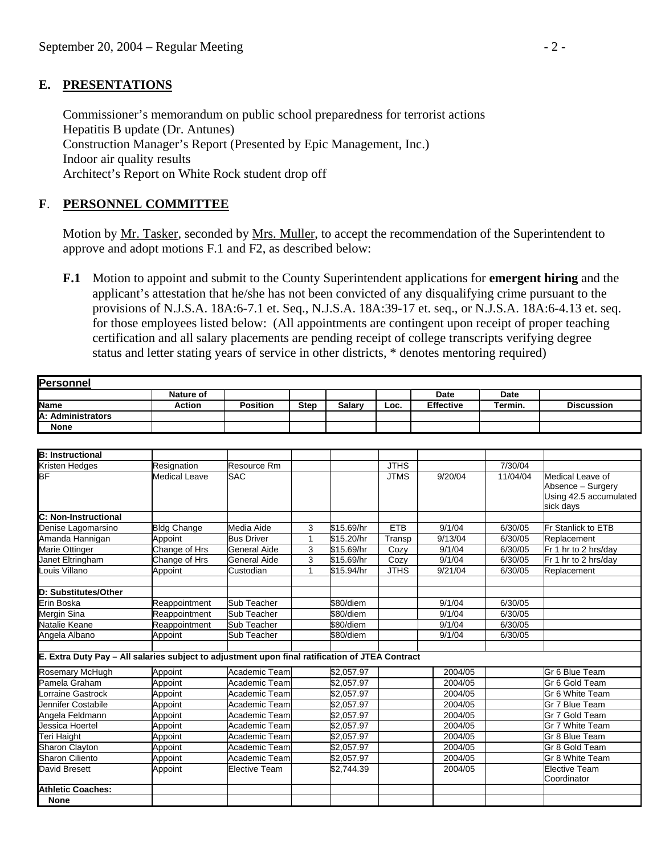#### **E. PRESENTATIONS**

 Commissioner's memorandum on public school preparedness for terrorist actions Hepatitis B update (Dr. Antunes) Construction Manager's Report (Presented by Epic Management, Inc.) Indoor air quality results Architect's Report on White Rock student drop off

## **F**. **PERSONNEL COMMITTEE**

Motion by Mr. Tasker, seconded by Mrs. Muller, to accept the recommendation of the Superintendent to approve and adopt motions F.1 and F2, as described below:

 **F.1** Motion to appoint and submit to the County Superintendent applications for **emergent hiring** and the applicant's attestation that he/she has not been convicted of any disqualifying crime pursuant to the provisions of N.J.S.A. 18A:6-7.1 et. Seq., N.J.S.A. 18A:39-17 et. seq., or N.J.S.A. 18A:6-4.13 et. seq. for those employees listed below: (All appointments are contingent upon receipt of proper teaching certification and all salary placements are pending receipt of college transcripts verifying degree status and letter stating years of service in other districts, \* denotes mentoring required)

| <b>Personnel</b>                                                                                |                      |                      |              |                        |             |                  |          |                                                                              |
|-------------------------------------------------------------------------------------------------|----------------------|----------------------|--------------|------------------------|-------------|------------------|----------|------------------------------------------------------------------------------|
|                                                                                                 | Nature of            |                      |              |                        |             | <b>Date</b>      | Date     |                                                                              |
| <b>Name</b>                                                                                     | <b>Action</b>        | <b>Position</b>      | <b>Step</b>  | <b>Salary</b>          | Loc.        | <b>Effective</b> | Termin.  | <b>Discussion</b>                                                            |
| A: Administrators                                                                               |                      |                      |              |                        |             |                  |          |                                                                              |
| <b>None</b>                                                                                     |                      |                      |              |                        |             |                  |          |                                                                              |
|                                                                                                 |                      |                      |              |                        |             |                  |          |                                                                              |
| <b>B: Instructional</b>                                                                         |                      |                      |              |                        |             |                  |          |                                                                              |
| Kristen Hedges                                                                                  | Resignation          | Resource Rm          |              |                        | <b>JTHS</b> |                  | 7/30/04  |                                                                              |
| lвF                                                                                             | <b>Medical Leave</b> | <b>SAC</b>           |              |                        | <b>JTMS</b> | 9/20/04          | 11/04/04 | Medical Leave of<br>Absence - Surgery<br>Using 42.5 accumulated<br>sick days |
| C: Non-Instructional                                                                            |                      |                      |              |                        |             |                  |          |                                                                              |
| Denise Lagomarsino                                                                              | <b>Bldg Change</b>   | Media Aide           | 3            | \$15.69/hr             | <b>ETB</b>  | 9/1/04           | 6/30/05  | <b>Fr Stanlick to ETB</b>                                                    |
| Amanda Hannigan                                                                                 | Appoint              | <b>Bus Driver</b>    | 1            | \$15.20/hr             | Transp      | 9/13/04          | 6/30/05  | Replacement                                                                  |
| <b>Marie Ottinger</b>                                                                           | Change of Hrs        | General Aide         | 3            | \$15.69/hr             | Cozy        | 9/1/04           | 6/30/05  | Fr 1 hr to 2 hrs/day                                                         |
| Janet Eltringham                                                                                | Change of Hrs        | <b>General Aide</b>  | 3            | \$15.69/hr             | Cozy        | 9/1/04           | 6/30/05  | Fr 1 hr to 2 hrs/day                                                         |
| Louis Villano                                                                                   | Appoint              | Custodian            | $\mathbf{1}$ | \$15.94/hr             | <b>JTHS</b> | 9/21/04          | 6/30/05  | Replacement                                                                  |
| D: Substitutes/Other                                                                            |                      |                      |              |                        |             |                  |          |                                                                              |
| Erin Boska                                                                                      | Reappointment        | Sub Teacher          |              | \$80/diem              |             | 9/1/04           | 6/30/05  |                                                                              |
| <b>Mergin Sina</b>                                                                              | Reappointment        | Sub Teacher          |              | \$80/diem              |             | 9/1/04           | 6/30/05  |                                                                              |
| Natalie Keane                                                                                   | Reappointment        | Sub Teacher          |              | \$80/diem              |             | 9/1/04           | 6/30/05  |                                                                              |
| Angela Albano                                                                                   | Appoint              | Sub Teacher          |              | \$80/diem              |             | 9/1/04           | 6/30/05  |                                                                              |
| E. Extra Duty Pay - All salaries subject to adjustment upon final ratification of JTEA Contract |                      |                      |              |                        |             |                  |          |                                                                              |
| Rosemary McHugh                                                                                 | Appoint              | Academic Team        |              | \$2,057.97             |             | 2004/05          |          | Gr 6 Blue Team                                                               |
| Pamela Graham                                                                                   | Appoint              | Academic Team        |              | $\sqrt{$2,057.97}$     |             | 2004/05          |          | Gr 6 Gold Team                                                               |
| Lorraine Gastrock                                                                               | Appoint              | Academic Team        |              | $\overline{$2,057.97}$ |             | 2004/05          |          | Gr 6 White Team                                                              |
| Jennifer Costabile                                                                              | Appoint              | Academic Team        |              | \$2,057.97             |             | 2004/05          |          | Gr 7 Blue Team                                                               |
| Angela Feldmann                                                                                 | Appoint              | Academic Team        |              | $\overline{$2,057.97}$ |             | 2004/05          |          | Gr 7 Gold Team                                                               |
| Jessica Hoertel                                                                                 | Appoint              | Academic Team        |              | \$2,057.97             |             | 2004/05          |          | Gr 7 White Team                                                              |
| Teri Haight                                                                                     | Appoint              | Academic Team        |              | \$2,057.97             |             | 2004/05          |          | Gr 8 Blue Team                                                               |
| <b>Sharon Clayton</b>                                                                           | Appoint              | Academic Team        |              | \$2,057.97             |             | 2004/05          |          | Gr 8 Gold Team                                                               |
| <b>Sharon Ciliento</b>                                                                          | Appoint              | Academic Team        |              | \$2,057.97             |             | 2004/05          |          | Gr 8 White Team                                                              |
| <b>David Bresett</b>                                                                            | Appoint              | <b>Elective Team</b> |              | $\overline{2,744.39}$  |             | 2004/05          |          | Elective Team                                                                |
| <b>Athletic Coaches:</b>                                                                        |                      |                      |              |                        |             |                  |          | Coordinator                                                                  |
| <b>None</b>                                                                                     |                      |                      |              |                        |             |                  |          |                                                                              |
|                                                                                                 |                      |                      |              |                        |             |                  |          |                                                                              |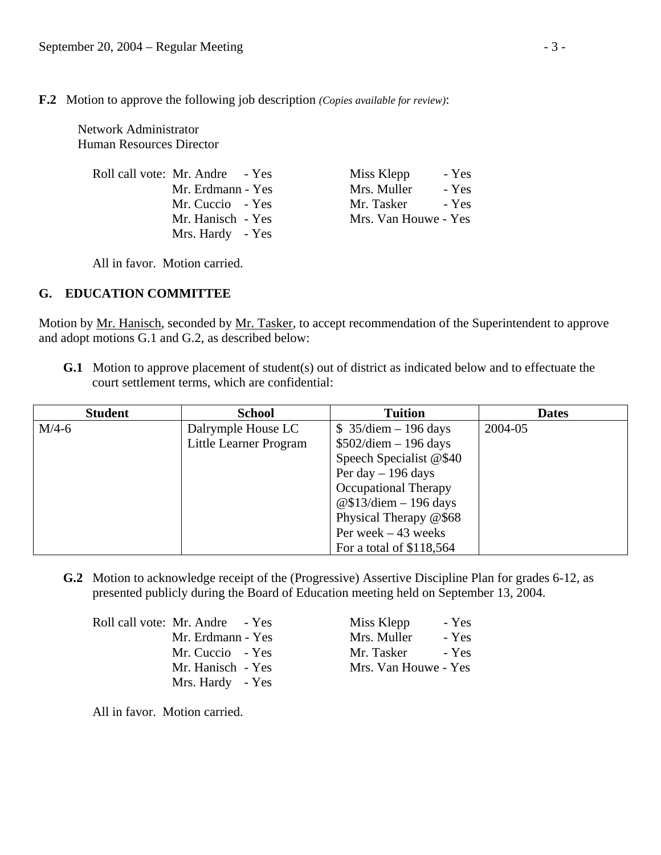**F.2** Motion to approve the following job description *(Copies available for review)*:

 Network Administrator Human Resources Director

| Roll call vote: Mr. Andre - Yes | Miss Klepp           | - Yes |
|---------------------------------|----------------------|-------|
| Mr. Erdmann - Yes               | Mrs. Muller          | - Yes |
| Mr. Cuccio - Yes                | Mr. Tasker           | - Yes |
| Mr. Hanisch - Yes               | Mrs. Van Houwe - Yes |       |
| Mrs. Hardy - Yes                |                      |       |

All in favor. Motion carried.

## **G. EDUCATION COMMITTEE**

Motion by Mr. Hanisch, seconded by Mr. Tasker, to accept recommendation of the Superintendent to approve and adopt motions G.1 and G.2, as described below:

**G.1** Motion to approve placement of student(s) out of district as indicated below and to effectuate the court settlement terms, which are confidential:

| <b>Student</b> | <b>School</b>          | <b>Tuition</b>           | <b>Dates</b> |
|----------------|------------------------|--------------------------|--------------|
| $M/4-6$        | Dalrymple House LC     | $$35$ /diem - 196 days   | 2004-05      |
|                | Little Learner Program | $$502$ /diem - 196 days  |              |
|                |                        | Speech Specialist @\$40  |              |
|                |                        | Per day $-196$ days      |              |
|                |                        | Occupational Therapy     |              |
|                |                        | @\$13/diem $-$ 196 days  |              |
|                |                        | Physical Therapy @\$68   |              |
|                |                        | Per week $-43$ weeks     |              |
|                |                        | For a total of \$118,564 |              |

 **G.2** Motion to acknowledge receipt of the (Progressive) Assertive Discipline Plan for grades 6-12, as presented publicly during the Board of Education meeting held on September 13, 2004.

Roll call vote: Mr. Andre - Yes Miss Klepp - Yes Mrs. Hardy - Yes

Mr. Erdmann - Yes Mrs. Muller - Yes Mr. Cuccio - Yes Mr. Tasker - Yes<br>
Mr. Hanisch - Yes Mrs. Van Houwe - Yes Mrs. Van Houwe - Yes

All in favor. Motion carried.